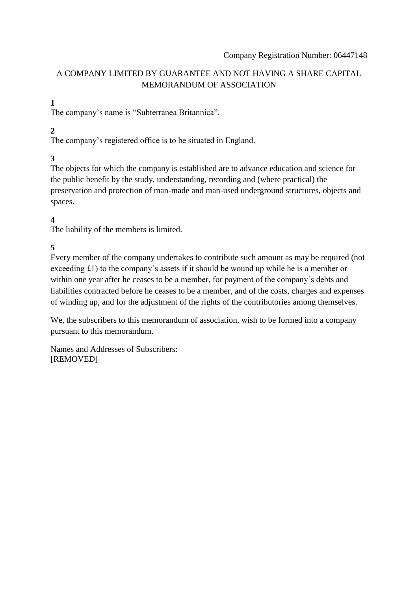## A COMPANY LIMITED BY GUARANTEE AND NOT HAVING A SHARE CAPITAL MEMORANDUM OF ASSOCIATION

# **1**

The company's name is "Subterranea Britannica".

# **2**

The company's registered office is to be situated in England.

## **3**

The objects for which the company is established are to advance education and science for the public benefit by the study, understanding, recording and (where practical) the preservation and protection of man-made and man-used underground structures, objects and spaces.

## **4**

The liability of the members is limited.

# **5**

Every member of the company undertakes to contribute such amount as may be required (not exceeding £1) to the company's assets if it should be wound up while he is a member or within one year after he ceases to be a member, for payment of the company's debts and liabilities contracted before he ceases to be a member, and of the costs, charges and expenses of winding up, and for the adjustment of the rights of the contributories among themselves.

We, the subscribers to this memorandum of association, wish to be formed into a company pursuant to this memorandum.

Names and Addresses of Subscribers: [REMOVED]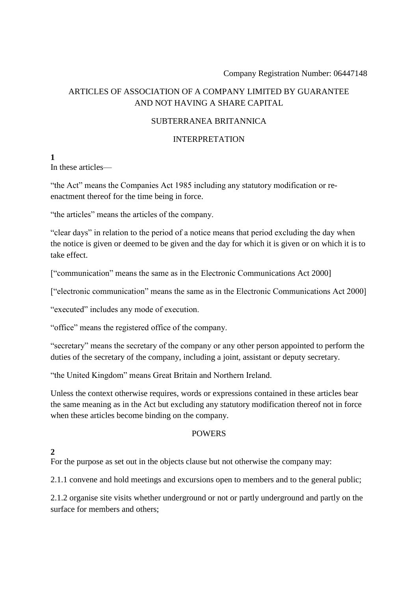## ARTICLES OF ASSOCIATION OF A COMPANY LIMITED BY GUARANTEE AND NOT HAVING A SHARE CAPITAL

#### SUBTERRANEA BRITANNICA

#### INTERPRETATION

**1**

In these articles—

"the Act" means the Companies Act 1985 including any statutory modification or reenactment thereof for the time being in force.

"the articles" means the articles of the company.

"clear days" in relation to the period of a notice means that period excluding the day when the notice is given or deemed to be given and the day for which it is given or on which it is to take effect.

["communication" means the same as in the Electronic Communications Act 2000]

["electronic communication" means the same as in the Electronic Communications Act 2000]

"executed" includes any mode of execution.

"office" means the registered office of the company.

"secretary" means the secretary of the company or any other person appointed to perform the duties of the secretary of the company, including a joint, assistant or deputy secretary.

"the United Kingdom" means Great Britain and Northern Ireland.

Unless the context otherwise requires, words or expressions contained in these articles bear the same meaning as in the Act but excluding any statutory modification thereof not in force when these articles become binding on the company.

#### **POWERS**

## **2**

For the purpose as set out in the objects clause but not otherwise the company may:

2.1.1 convene and hold meetings and excursions open to members and to the general public;

2.1.2 organise site visits whether underground or not or partly underground and partly on the surface for members and others;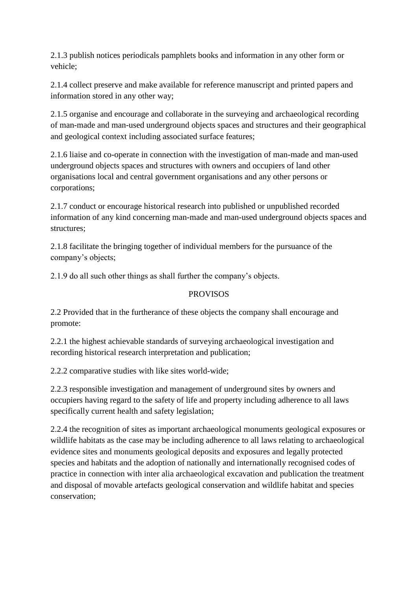2.1.3 publish notices periodicals pamphlets books and information in any other form or vehicle;

2.1.4 collect preserve and make available for reference manuscript and printed papers and information stored in any other way;

2.1.5 organise and encourage and collaborate in the surveying and archaeological recording of man-made and man-used underground objects spaces and structures and their geographical and geological context including associated surface features;

2.1.6 liaise and co-operate in connection with the investigation of man-made and man-used underground objects spaces and structures with owners and occupiers of land other organisations local and central government organisations and any other persons or corporations;

2.1.7 conduct or encourage historical research into published or unpublished recorded information of any kind concerning man-made and man-used underground objects spaces and structures;

2.1.8 facilitate the bringing together of individual members for the pursuance of the company's objects;

2.1.9 do all such other things as shall further the company's objects.

## PROVISOS

2.2 Provided that in the furtherance of these objects the company shall encourage and promote:

2.2.1 the highest achievable standards of surveying archaeological investigation and recording historical research interpretation and publication;

2.2.2 comparative studies with like sites world-wide;

2.2.3 responsible investigation and management of underground sites by owners and occupiers having regard to the safety of life and property including adherence to all laws specifically current health and safety legislation;

2.2.4 the recognition of sites as important archaeological monuments geological exposures or wildlife habitats as the case may be including adherence to all laws relating to archaeological evidence sites and monuments geological deposits and exposures and legally protected species and habitats and the adoption of nationally and internationally recognised codes of practice in connection with inter alia archaeological excavation and publication the treatment and disposal of movable artefacts geological conservation and wildlife habitat and species conservation;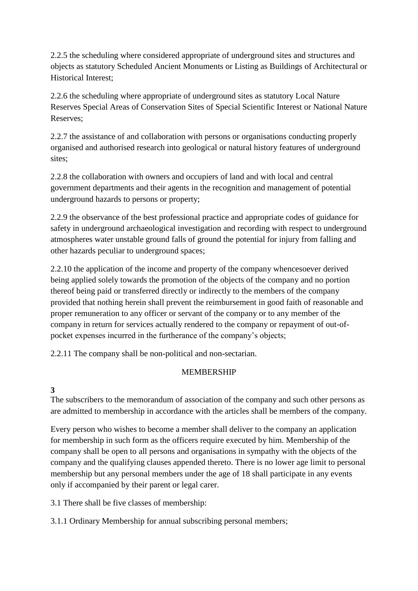2.2.5 the scheduling where considered appropriate of underground sites and structures and objects as statutory Scheduled Ancient Monuments or Listing as Buildings of Architectural or Historical Interest;

2.2.6 the scheduling where appropriate of underground sites as statutory Local Nature Reserves Special Areas of Conservation Sites of Special Scientific Interest or National Nature Reserves;

2.2.7 the assistance of and collaboration with persons or organisations conducting properly organised and authorised research into geological or natural history features of underground sites;

2.2.8 the collaboration with owners and occupiers of land and with local and central government departments and their agents in the recognition and management of potential underground hazards to persons or property;

2.2.9 the observance of the best professional practice and appropriate codes of guidance for safety in underground archaeological investigation and recording with respect to underground atmospheres water unstable ground falls of ground the potential for injury from falling and other hazards peculiar to underground spaces;

2.2.10 the application of the income and property of the company whencesoever derived being applied solely towards the promotion of the objects of the company and no portion thereof being paid or transferred directly or indirectly to the members of the company provided that nothing herein shall prevent the reimbursement in good faith of reasonable and proper remuneration to any officer or servant of the company or to any member of the company in return for services actually rendered to the company or repayment of out-ofpocket expenses incurred in the furtherance of the company's objects;

2.2.11 The company shall be non-political and non-sectarian.

## MEMBERSHIP

**3**

The subscribers to the memorandum of association of the company and such other persons as are admitted to membership in accordance with the articles shall be members of the company.

Every person who wishes to become a member shall deliver to the company an application for membership in such form as the officers require executed by him. Membership of the company shall be open to all persons and organisations in sympathy with the objects of the company and the qualifying clauses appended thereto. There is no lower age limit to personal membership but any personal members under the age of 18 shall participate in any events only if accompanied by their parent or legal carer.

3.1 There shall be five classes of membership:

3.1.1 Ordinary Membership for annual subscribing personal members;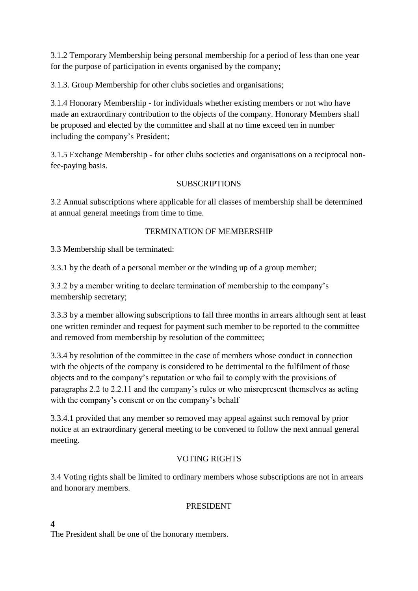3.1.2 Temporary Membership being personal membership for a period of less than one year for the purpose of participation in events organised by the company;

3.1.3. Group Membership for other clubs societies and organisations;

3.1.4 Honorary Membership - for individuals whether existing members or not who have made an extraordinary contribution to the objects of the company. Honorary Members shall be proposed and elected by the committee and shall at no time exceed ten in number including the company's President;

3.1.5 Exchange Membership - for other clubs societies and organisations on a reciprocal nonfee-paying basis.

## **SUBSCRIPTIONS**

3.2 Annual subscriptions where applicable for all classes of membership shall be determined at annual general meetings from time to time.

## TERMINATION OF MEMBERSHIP

3.3 Membership shall be terminated:

3.3.1 by the death of a personal member or the winding up of a group member;

3.3.2 by a member writing to declare termination of membership to the company's membership secretary;

3.3.3 by a member allowing subscriptions to fall three months in arrears although sent at least one written reminder and request for payment such member to be reported to the committee and removed from membership by resolution of the committee;

3.3.4 by resolution of the committee in the case of members whose conduct in connection with the objects of the company is considered to be detrimental to the fulfilment of those objects and to the company's reputation or who fail to comply with the provisions of paragraphs 2.2 to 2.2.11 and the company's rules or who misrepresent themselves as acting with the company's consent or on the company's behalf

3.3.4.1 provided that any member so removed may appeal against such removal by prior notice at an extraordinary general meeting to be convened to follow the next annual general meeting.

## VOTING RIGHTS

3.4 Voting rights shall be limited to ordinary members whose subscriptions are not in arrears and honorary members.

## PRESIDENT

**4**

The President shall be one of the honorary members.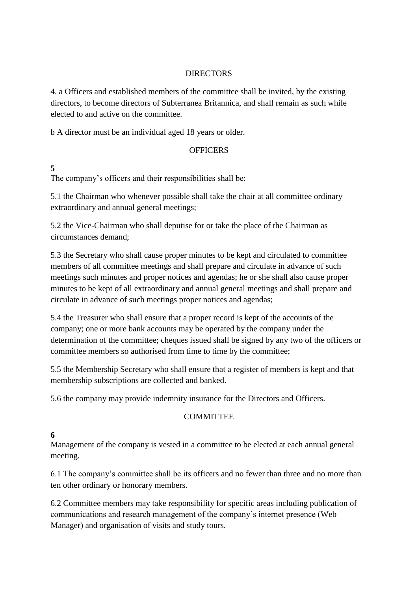#### **DIRECTORS**

4. a Officers and established members of the committee shall be invited, by the existing directors, to become directors of Subterranea Britannica, and shall remain as such while elected to and active on the committee.

b A director must be an individual aged 18 years or older.

#### **OFFICERS**

## **5**

The company's officers and their responsibilities shall be:

5.1 the Chairman who whenever possible shall take the chair at all committee ordinary extraordinary and annual general meetings;

5.2 the Vice-Chairman who shall deputise for or take the place of the Chairman as circumstances demand;

5.3 the Secretary who shall cause proper minutes to be kept and circulated to committee members of all committee meetings and shall prepare and circulate in advance of such meetings such minutes and proper notices and agendas; he or she shall also cause proper minutes to be kept of all extraordinary and annual general meetings and shall prepare and circulate in advance of such meetings proper notices and agendas;

5.4 the Treasurer who shall ensure that a proper record is kept of the accounts of the company; one or more bank accounts may be operated by the company under the determination of the committee; cheques issued shall be signed by any two of the officers or committee members so authorised from time to time by the committee;

5.5 the Membership Secretary who shall ensure that a register of members is kept and that membership subscriptions are collected and banked.

5.6 the company may provide indemnity insurance for the Directors and Officers.

#### **COMMITTEE**

## **6**

Management of the company is vested in a committee to be elected at each annual general meeting.

6.1 The company's committee shall be its officers and no fewer than three and no more than ten other ordinary or honorary members.

6.2 Committee members may take responsibility for specific areas including publication of communications and research management of the company's internet presence (Web Manager) and organisation of visits and study tours.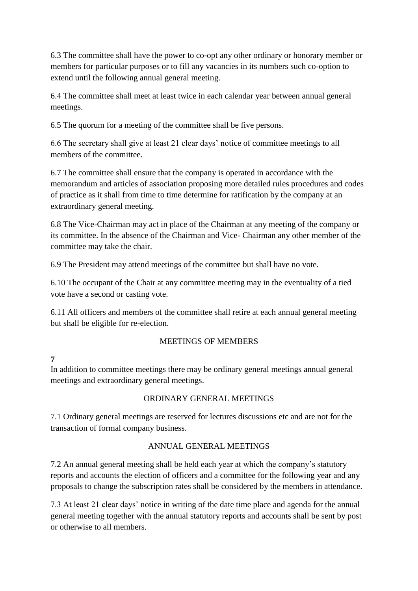6.3 The committee shall have the power to co-opt any other ordinary or honorary member or members for particular purposes or to fill any vacancies in its numbers such co-option to extend until the following annual general meeting.

6.4 The committee shall meet at least twice in each calendar year between annual general meetings.

6.5 The quorum for a meeting of the committee shall be five persons.

6.6 The secretary shall give at least 21 clear days' notice of committee meetings to all members of the committee.

6.7 The committee shall ensure that the company is operated in accordance with the memorandum and articles of association proposing more detailed rules procedures and codes of practice as it shall from time to time determine for ratification by the company at an extraordinary general meeting.

6.8 The Vice-Chairman may act in place of the Chairman at any meeting of the company or its committee. In the absence of the Chairman and Vice- Chairman any other member of the committee may take the chair.

6.9 The President may attend meetings of the committee but shall have no vote.

6.10 The occupant of the Chair at any committee meeting may in the eventuality of a tied vote have a second or casting vote.

6.11 All officers and members of the committee shall retire at each annual general meeting but shall be eligible for re-election.

## MEETINGS OF MEMBERS

## **7**

In addition to committee meetings there may be ordinary general meetings annual general meetings and extraordinary general meetings.

## ORDINARY GENERAL MEETINGS

7.1 Ordinary general meetings are reserved for lectures discussions etc and are not for the transaction of formal company business.

## ANNUAL GENERAL MEETINGS

7.2 An annual general meeting shall be held each year at which the company's statutory reports and accounts the election of officers and a committee for the following year and any proposals to change the subscription rates shall be considered by the members in attendance.

7.3 At least 21 clear days' notice in writing of the date time place and agenda for the annual general meeting together with the annual statutory reports and accounts shall be sent by post or otherwise to all members.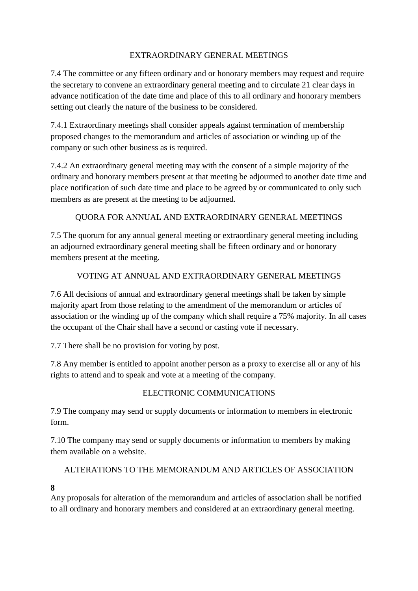### EXTRAORDINARY GENERAL MEETINGS

7.4 The committee or any fifteen ordinary and or honorary members may request and require the secretary to convene an extraordinary general meeting and to circulate 21 clear days in advance notification of the date time and place of this to all ordinary and honorary members setting out clearly the nature of the business to be considered.

7.4.1 Extraordinary meetings shall consider appeals against termination of membership proposed changes to the memorandum and articles of association or winding up of the company or such other business as is required.

7.4.2 An extraordinary general meeting may with the consent of a simple majority of the ordinary and honorary members present at that meeting be adjourned to another date time and place notification of such date time and place to be agreed by or communicated to only such members as are present at the meeting to be adjourned.

## QUORA FOR ANNUAL AND EXTRAORDINARY GENERAL MEETINGS

7.5 The quorum for any annual general meeting or extraordinary general meeting including an adjourned extraordinary general meeting shall be fifteen ordinary and or honorary members present at the meeting.

## VOTING AT ANNUAL AND EXTRAORDINARY GENERAL MEETINGS

7.6 All decisions of annual and extraordinary general meetings shall be taken by simple majority apart from those relating to the amendment of the memorandum or articles of association or the winding up of the company which shall require a 75% majority. In all cases the occupant of the Chair shall have a second or casting vote if necessary.

7.7 There shall be no provision for voting by post.

7.8 Any member is entitled to appoint another person as a proxy to exercise all or any of his rights to attend and to speak and vote at a meeting of the company.

#### ELECTRONIC COMMUNICATIONS

7.9 The company may send or supply documents or information to members in electronic form.

7.10 The company may send or supply documents or information to members by making them available on a website.

## ALTERATIONS TO THE MEMORANDUM AND ARTICLES OF ASSOCIATION

#### **8**

Any proposals for alteration of the memorandum and articles of association shall be notified to all ordinary and honorary members and considered at an extraordinary general meeting.